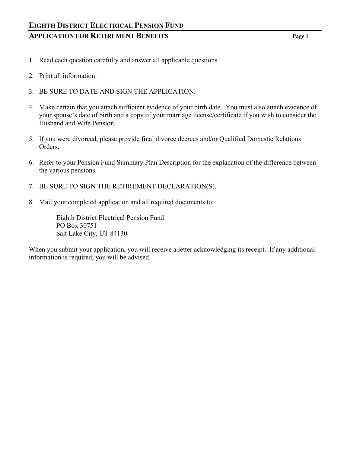- 1. Read each question carefully and answer all applicable questions.
- 2. Print all information.
- 3. BE SURE TO DATE AND SIGN THE APPLICATION.
- 4. Make certain that you attach sufficient evidence of your birth date. You must also attach evidence of your spouse's date of birth and a copy of your marriage license/certificate if you wish to consider the Husband and Wife Pension.
- 5. If you were divorced, please provide final divorce decrees and/or Qualified Domestic Relations Orders.
- 6. Refer to your Pension Fund Summary Plan Description for the explanation of the difference between the various pensions.
- 7. BE SURE TO SIGN THE RETIREMENT DECLARATION(S).
- 8. Mail your completed application and all required documents to:

 Eighth District Electrical Pension Fund PO Box 30751 Salt Lake City, UT 84130

When you submit your application, you will receive a letter acknowledging its receipt. If any additional information is required, you will be advised.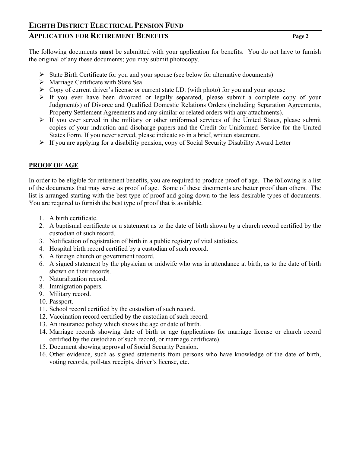# **APPLICATION FOR RETIREMENT BENEFITS Page 2**

The following documents **must** be submitted with your application for benefits. You do not have to furnish the original of any these documents; you may submit photocopy.

- $\triangleright$  State Birth Certificate for you and your spouse (see below for alternative documents)
- $\triangleright$  Marriage Certificate with State Seal
- $\triangleright$  Copy of current driver's license or current state I.D. (with photo) for you and your spouse
- $\triangleright$  If you ever have been divorced or legally separated, please submit a complete copy of your Judgment(s) of Divorce and Qualified Domestic Relations Orders (including Separation Agreements, Property Settlement Agreements and any similar or related orders with any attachments).
- $\triangleright$  If you ever served in the military or other uniformed services of the United States, please submit copies of your induction and discharge papers and the Credit for Uniformed Service for the United States Form. If you never served, please indicate so in a brief, written statement.
- $\triangleright$  If you are applying for a disability pension, copy of Social Security Disability Award Letter

# **PROOF OF AGE**

In order to be eligible for retirement benefits, you are required to produce proof of age. The following is a list of the documents that may serve as proof of age. Some of these documents are better proof than others. The list is arranged starting with the best type of proof and going down to the less desirable types of documents. You are required to furnish the best type of proof that is available.

- 1. A birth certificate.
- 2. A baptismal certificate or a statement as to the date of birth shown by a church record certified by the custodian of such record.
- 3. Notification of registration of birth in a public registry of vital statistics.
- 4. Hospital birth record certified by a custodian of such record.
- 5. A foreign church or government record.
- 6. A signed statement by the physician or midwife who was in attendance at birth, as to the date of birth shown on their records.
- 7. Naturalization record.
- 8. Immigration papers.
- 9. Military record.
- 10. Passport.
- 11. School record certified by the custodian of such record.
- 12. Vaccination record certified by the custodian of such record.
- 13. An insurance policy which shows the age or date of birth.
- 14. Marriage records showing date of birth or age (applications for marriage license or church record certified by the custodian of such record, or marriage certificate).
- 15. Document showing approval of Social Security Pension.
- 16. Other evidence, such as signed statements from persons who have knowledge of the date of birth, voting records, poll-tax receipts, driver's license, etc.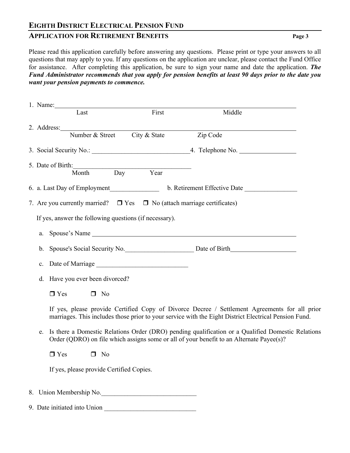## **APPLICATION FOR RETIREMENT BENEFITS** Page 3

Please read this application carefully before answering any questions. Please print or type your answers to all questions that may apply to you. If any questions on the application are unclear, please contact the Fund Office for assistance. After completing this application, be sure to sign your name and date the application. *The Fund Administrator recommends that you apply for pension benefits at least 90 days prior to the date you want your pension payments to commence.*

|                                                                                                                                                                                                     |                                                        | Last                                                                                                                                                                                                   | First                                                  | Middle                       |  |  |  |
|-----------------------------------------------------------------------------------------------------------------------------------------------------------------------------------------------------|--------------------------------------------------------|--------------------------------------------------------------------------------------------------------------------------------------------------------------------------------------------------------|--------------------------------------------------------|------------------------------|--|--|--|
|                                                                                                                                                                                                     |                                                        | 2. Address: Number & Street City & State                                                                                                                                                               |                                                        |                              |  |  |  |
|                                                                                                                                                                                                     |                                                        |                                                                                                                                                                                                        |                                                        | Zip Code                     |  |  |  |
|                                                                                                                                                                                                     |                                                        |                                                                                                                                                                                                        |                                                        |                              |  |  |  |
|                                                                                                                                                                                                     |                                                        | 5. Date of Birth:<br>Month                                                                                                                                                                             | <u> 1989 - Johann Barbara, martin a</u><br>Day<br>Year |                              |  |  |  |
|                                                                                                                                                                                                     |                                                        |                                                                                                                                                                                                        |                                                        |                              |  |  |  |
|                                                                                                                                                                                                     |                                                        | 6. a. Last Day of Employment                                                                                                                                                                           |                                                        | b. Retirement Effective Date |  |  |  |
|                                                                                                                                                                                                     |                                                        | 7. Are you currently married? $\Box$ Yes $\Box$ No (attach marriage certificates)                                                                                                                      |                                                        |                              |  |  |  |
|                                                                                                                                                                                                     | If yes, answer the following questions (if necessary). |                                                                                                                                                                                                        |                                                        |                              |  |  |  |
|                                                                                                                                                                                                     |                                                        |                                                                                                                                                                                                        |                                                        |                              |  |  |  |
|                                                                                                                                                                                                     |                                                        |                                                                                                                                                                                                        |                                                        |                              |  |  |  |
|                                                                                                                                                                                                     |                                                        |                                                                                                                                                                                                        |                                                        |                              |  |  |  |
|                                                                                                                                                                                                     |                                                        | d. Have you ever been divorced?                                                                                                                                                                        |                                                        |                              |  |  |  |
|                                                                                                                                                                                                     |                                                        | $\Box$ Yes<br>$\Box$ No                                                                                                                                                                                |                                                        |                              |  |  |  |
|                                                                                                                                                                                                     |                                                        | If yes, please provide Certified Copy of Divorce Decree / Settlement Agreements for all prior<br>marriages. This includes those prior to your service with the Eight District Electrical Pension Fund. |                                                        |                              |  |  |  |
| Is there a Domestic Relations Order (DRO) pending qualification or a Qualified Domestic Relations<br>e.<br>Order (QDRO) on file which assigns some or all of your benefit to an Alternate Payee(s)? |                                                        |                                                                                                                                                                                                        |                                                        |                              |  |  |  |
|                                                                                                                                                                                                     |                                                        | $\Box$ Yes<br>$\Box$ No                                                                                                                                                                                |                                                        |                              |  |  |  |

If yes, please provide Certified Copies.

- 8. Union Membership No.
- 9. Date initiated into Union \_\_\_\_\_\_\_\_\_\_\_\_\_\_\_\_\_\_\_\_\_\_\_\_\_\_\_\_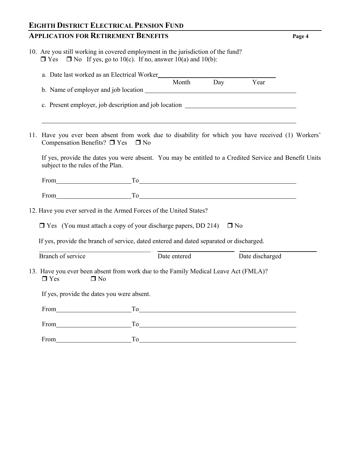# **EIGHTH DISTRICT ELECTRICAL PENSION FUND APPLICATION FOR RETIREMENT BENEFITS** Page

| . . |
|-----|
|-----|

|  |  |  | 10. Are you still working in covered employment in the jurisdiction of the fund? |  |
|--|--|--|----------------------------------------------------------------------------------|--|
|  |  |  | $\Box$ Yes $\Box$ No If yes, go to 10(c). If no, answer 10(a) and 10(b):         |  |

| a. Date last worked as an Electrical Worker Month Day Year                                                                                                                                                                           |              |  |                 |  |  |
|--------------------------------------------------------------------------------------------------------------------------------------------------------------------------------------------------------------------------------------|--------------|--|-----------------|--|--|
|                                                                                                                                                                                                                                      |              |  |                 |  |  |
| c. Present employer, job description and job location __________________________                                                                                                                                                     |              |  |                 |  |  |
|                                                                                                                                                                                                                                      |              |  |                 |  |  |
| <u> 1989 - Johann Stoff, deutscher Stoffen und der Stoffen und der Stoffen und der Stoffen und der Stoffen und de</u>                                                                                                                |              |  |                 |  |  |
| 11. Have you ever been absent from work due to disability for which you have received (1) Workers'                                                                                                                                   |              |  |                 |  |  |
| Compensation Benefits? $\square$ Yes $\square$ No                                                                                                                                                                                    |              |  |                 |  |  |
| If yes, provide the dates you were absent. You may be entitled to a Credited Service and Benefit Units<br>subject to the rules of the Plan.                                                                                          |              |  |                 |  |  |
|                                                                                                                                                                                                                                      |              |  |                 |  |  |
|                                                                                                                                                                                                                                      |              |  |                 |  |  |
| 12. Have you ever served in the Armed Forces of the United States?                                                                                                                                                                   |              |  |                 |  |  |
|                                                                                                                                                                                                                                      |              |  |                 |  |  |
| $\Box$ Yes (You must attach a copy of your discharge papers, DD 214) $\Box$ No                                                                                                                                                       |              |  |                 |  |  |
| If yes, provide the branch of service, dated entered and dated separated or discharged.                                                                                                                                              |              |  |                 |  |  |
| Branch of service                                                                                                                                                                                                                    | Date entered |  | Date discharged |  |  |
| 13. Have you ever been absent from work due to the Family Medical Leave Act (FMLA)?<br>$\Box$ Yes<br>$\Box$ No                                                                                                                       |              |  |                 |  |  |
| If yes, provide the dates you were absent.                                                                                                                                                                                           |              |  |                 |  |  |
|                                                                                                                                                                                                                                      |              |  |                 |  |  |
|                                                                                                                                                                                                                                      |              |  |                 |  |  |
| From Production Control Control Control Control Control Control Control Control Control Control Control Control Control Control Control Control Control Control Control Control Control Control Control Control Control Contro<br>To |              |  |                 |  |  |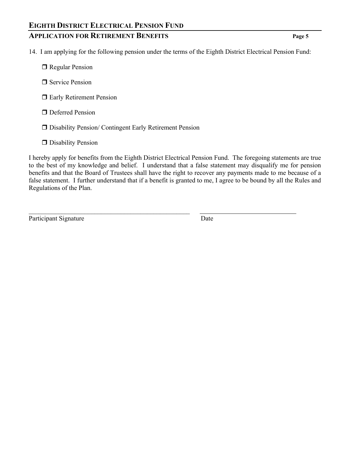# **APPLICATION FOR RETIREMENT BENEFITS Page 5**

- 14. I am applying for the following pension under the terms of the Eighth District Electrical Pension Fund:
	- Regular Pension
	- Service Pension
	- **I** Early Retirement Pension
	- **O** Deferred Pension
	- Disability Pension/ Contingent Early Retirement Pension

 $\mathcal{L}_\mathcal{L}$  , and the contribution of the contribution of the contribution of the contribution of the contribution of the contribution of the contribution of the contribution of the contribution of the contribution of

**D** Disability Pension

I hereby apply for benefits from the Eighth District Electrical Pension Fund. The foregoing statements are true to the best of my knowledge and belief. I understand that a false statement may disqualify me for pension benefits and that the Board of Trustees shall have the right to recover any payments made to me because of a false statement. I further understand that if a benefit is granted to me, I agree to be bound by all the Rules and Regulations of the Plan.

Participant Signature Date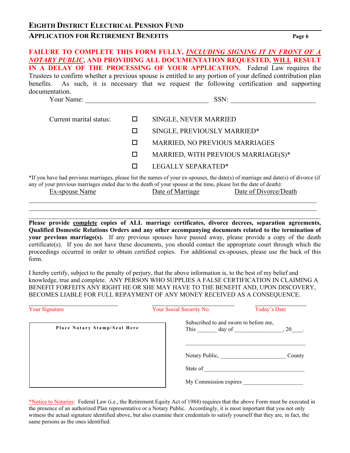# **APPLICATION FOR RETIREMENT BENEFITS** Page 6

# **FAILURE TO COMPLETE THIS FORM FULLY,** *INCLUDING SIGNING IT IN FRONT OF A NOTARY PUBLIC***, AND PROVIDING ALL DOCUMENTATION REQUESTED, WILL RESULT IN A DELAY OF THE PROCESSING OF YOUR APPLICATION.** Federal Law requires the Trustees to confirm whether a previous spouse is entitled to any portion of your defined contribution plan benefits. As such, it is necessary that we request the following certification and supporting documentation. Your Name:  $\bullet$  SSN: Current marital status:  $\Box$  SINGLE, NEVER MARRIED SINGLE, PREVIOUSLY MARRIED\* D MARRIED, NO PREVIOUS MARRIAGES MARRIED, WITH PREVIOUS MARRIAGE(S)\*

LEGALLY SEPARATED\*

\*If you have had previous marriages, please list the names of your ex-spouses, the date(s) of marriage and date(s) of divorce (if any of your previous marriages ended due to the death of your spouse at the time, please list the date of death):

 $\_$  , and the set of the set of the set of the set of the set of the set of the set of the set of the set of the set of the set of the set of the set of the set of the set of the set of the set of the set of the set of th

| Ex-spouse Name | Date of Marriage | Date of Divorce/Death |
|----------------|------------------|-----------------------|
|                |                  |                       |

**Please provide complete copies of ALL marriage certificates, divorce decrees, separation agreements, Qualified Domestic Relations Orders and any other accompanying documents related to the termination of your previous marriage(s).** If any previous spouses have passed away, please provide a copy of the death certificate(s). If you do not have these documents, you should contact the appropriate court through which the proceedings occurred in order to obtain certified copies. For additional ex-spouses, please use the back of this form.

I hereby certify, subject to the penalty of perjury, that the above information is, to the best of my belief and knowledge, true and complete. ANY PERSON WHO SUPPLIES A FALSE CERTIFICATION IN CLAIMING A BENEFIT FORFEITS ANY RIGHT HE OR SHE MAY HAVE TO THE BENEFIT AND, UPON DISCOVERY, BECOMES LIABLE FOR FULL REPAYMENT OF ANY MONEY RECEIVED AS A CONSEQUENCE.

| <b>Your Signature</b>        | Your Social Security No.                             | Today's Date |
|------------------------------|------------------------------------------------------|--------------|
| Place Notary Stamp/Seal Here | Subscribed to and sworn to before me,<br>This day of | $, 20$ .     |
|                              | Notary Public,                                       | County       |
|                              | State of                                             |              |
|                              | My Commission expires                                |              |

\*Notice to Notaries: Federal Law (i.e., the Retirement Equity Act of 1984) requires that the above Form must be executed in the presence of an authorized Plan representative or a Notary Public. Accordingly, it is most important that you not only witness the actual signature identified above, but also examine their credentials to satisfy yourself that they are, in fact, the same persons as the ones identified.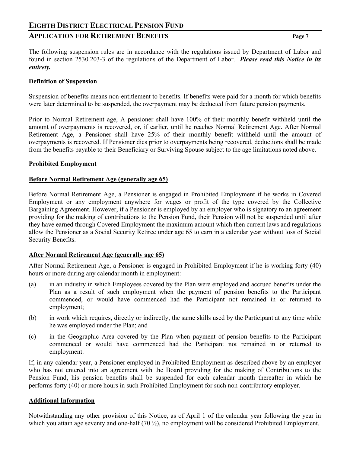## **APPLICATION FOR RETIREMENT BENEFITS Page 7**

The following suspension rules are in accordance with the regulations issued by Department of Labor and found in section 2530.203-3 of the regulations of the Department of Labor. *Please read this Notice in its entirety.* 

#### **Definition of Suspension**

Suspension of benefits means non-entitlement to benefits. If benefits were paid for a month for which benefits were later determined to be suspended, the overpayment may be deducted from future pension payments.

Prior to Normal Retirement age, A pensioner shall have 100% of their monthly benefit withheld until the amount of overpayments is recovered, or, if earlier, until he reaches Normal Retirement Age. After Normal Retirement Age, a Pensioner shall have 25% of their monthly benefit withheld until the amount of overpayments is recovered. If Pensioner dies prior to overpayments being recovered, deductions shall be made from the benefits payable to their Beneficiary or Surviving Spouse subject to the age limitations noted above.

#### **Prohibited Employment**

#### **Before Normal Retirement Age (generally age 65)**

Before Normal Retirement Age, a Pensioner is engaged in Prohibited Employment if he works in Covered Employment or any employment anywhere for wages or profit of the type covered by the Collective Bargaining Agreement. However, if a Pensioner is employed by an employer who is signatory to an agreement providing for the making of contributions to the Pension Fund, their Pension will not be suspended until after they have earned through Covered Employment the maximum amount which then current laws and regulations allow the Pensioner as a Social Security Retiree under age 65 to earn in a calendar year without loss of Social Security Benefits.

#### **After Normal Retirement Age (generally age 65)**

After Normal Retirement Age, a Pensioner is engaged in Prohibited Employment if he is working forty (40) hours or more during any calendar month in employment:

- (a) in an industry in which Employees covered by the Plan were employed and accrued benefits under the Plan as a result of such employment when the payment of pension benefits to the Participant commenced, or would have commenced had the Participant not remained in or returned to employment;
- (b) in work which requires, directly or indirectly, the same skills used by the Participant at any time while he was employed under the Plan; and
- (c) in the Geographic Area covered by the Plan when payment of pension benefits to the Participant commenced or would have commenced had the Participant not remained in or returned to employment.

If, in any calendar year, a Pensioner employed in Prohibited Employment as described above by an employer who has not entered into an agreement with the Board providing for the making of Contributions to the Pension Fund, his pension benefits shall be suspended for each calendar month thereafter in which he performs forty (40) or more hours in such Prohibited Employment for such non-contributory employer.

#### **Additional Information**

Notwithstanding any other provision of this Notice, as of April 1 of the calendar year following the year in which you attain age seventy and one-half (70  $\frac{1}{2}$ ), no employment will be considered Prohibited Employment.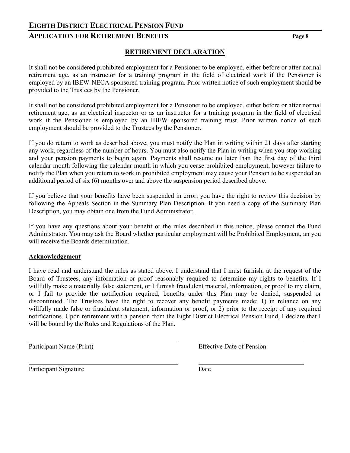## **APPLICATION FOR RETIREMENT BENEFITS Page 8**

## **RETIREMENT DECLARATION**

It shall not be considered prohibited employment for a Pensioner to be employed, either before or after normal retirement age, as an instructor for a training program in the field of electrical work if the Pensioner is employed by an IBEW-NECA sponsored training program. Prior written notice of such employment should be provided to the Trustees by the Pensioner.

It shall not be considered prohibited employment for a Pensioner to be employed, either before or after normal retirement age, as an electrical inspector or as an instructor for a training program in the field of electrical work if the Pensioner is employed by an IBEW sponsored training trust. Prior written notice of such employment should be provided to the Trustees by the Pensioner.

If you do return to work as described above, you must notify the Plan in writing within 21 days after starting any work, regardless of the number of hours. You must also notify the Plan in writing when you stop working and your pension payments to begin again. Payments shall resume no later than the first day of the third calendar month following the calendar month in which you cease prohibited employment, however failure to notify the Plan when you return to work in prohibited employment may cause your Pension to be suspended an additional period of six (6) months over and above the suspension period described above.

If you believe that your benefits have been suspended in error, you have the right to review this decision by following the Appeals Section in the Summary Plan Description. If you need a copy of the Summary Plan Description, you may obtain one from the Fund Administrator.

If you have any questions about your benefit or the rules described in this notice, please contact the Fund Administrator. You may ask the Board whether particular employment will be Prohibited Employment, an you will receive the Boards determination.

#### **Acknowledgement**

I have read and understand the rules as stated above. I understand that I must furnish, at the request of the Board of Trustees, any information or proof reasonably required to determine my rights to benefits. If I willfully make a materially false statement, or I furnish fraudulent material, information, or proof to my claim, or I fail to provide the notification required, benefits under this Plan may be denied, suspended or discontinued. The Trustees have the right to recover any benefit payments made: 1) in reliance on any willfully made false or fraudulent statement, information or proof, or 2) prior to the receipt of any required notifications. Upon retirement with a pension from the Eight District Electrical Pension Fund, I declare that I will be bound by the Rules and Regulations of the Plan.

 $\overline{a}$ 

Participant Name (Print) Effective Date of Pension

Participant Signature Date